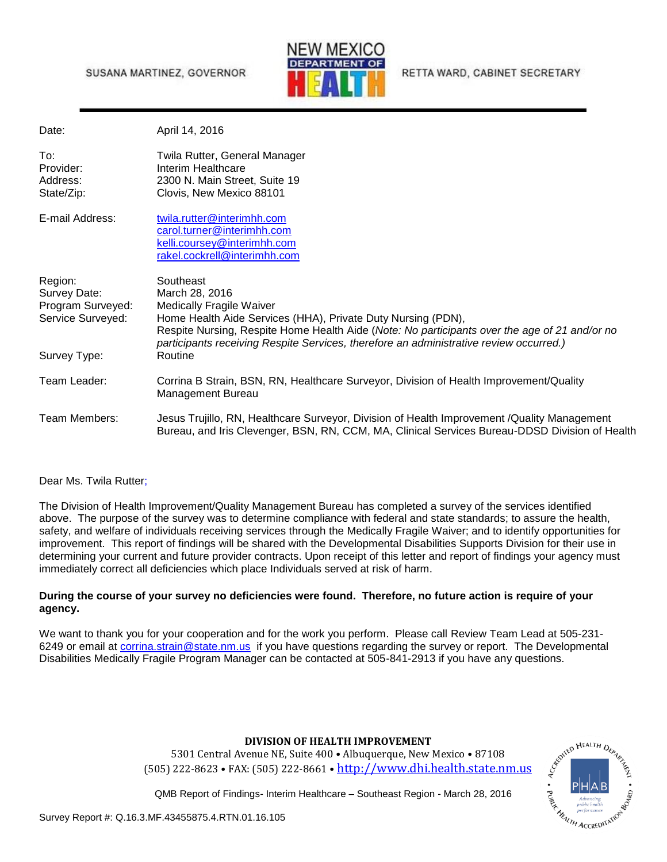## SUSANA MARTINEZ, GOVERNOR



RETTA WARD, CABINET SECRETARY

| Date:                                                                             | April 14, 2016                                                                                                                                                                                                                                                                                                                       |
|-----------------------------------------------------------------------------------|--------------------------------------------------------------------------------------------------------------------------------------------------------------------------------------------------------------------------------------------------------------------------------------------------------------------------------------|
| To:<br>Provider:<br>Address:<br>State/Zip:                                        | Twila Rutter, General Manager<br>Interim Healthcare<br>2300 N. Main Street, Suite 19<br>Clovis, New Mexico 88101                                                                                                                                                                                                                     |
| E-mail Address:                                                                   | twila.rutter@interimhh.com<br>carol.turner@interimhh.com<br>kelli.coursey@interimhh.com<br>rakel.cockrell@interimhh.com                                                                                                                                                                                                              |
| Region:<br>Survey Date:<br>Program Surveyed:<br>Service Surveyed:<br>Survey Type: | Southeast<br>March 28, 2016<br><b>Medically Fragile Waiver</b><br>Home Health Aide Services (HHA), Private Duty Nursing (PDN),<br>Respite Nursing, Respite Home Health Aide (Note: No participants over the age of 21 and/or no<br>participants receiving Respite Services, therefore an administrative review occurred.)<br>Routine |
| Team Leader:                                                                      | Corrina B Strain, BSN, RN, Healthcare Surveyor, Division of Health Improvement/Quality<br>Management Bureau                                                                                                                                                                                                                          |
| Team Members:                                                                     | Jesus Trujillo, RN, Healthcare Surveyor, Division of Health Improvement /Quality Management<br>Bureau, and Iris Clevenger, BSN, RN, CCM, MA, Clinical Services Bureau-DDSD Division of Health                                                                                                                                        |

## Dear Ms. Twila Rutter;

The Division of Health Improvement/Quality Management Bureau has completed a survey of the services identified above. The purpose of the survey was to determine compliance with federal and state standards; to assure the health, safety, and welfare of individuals receiving services through the Medically Fragile Waiver; and to identify opportunities for improvement. This report of findings will be shared with the Developmental Disabilities Supports Division for their use in determining your current and future provider contracts. Upon receipt of this letter and report of findings your agency must immediately correct all deficiencies which place Individuals served at risk of harm.

## **During the course of your survey no deficiencies were found. Therefore, no future action is require of your agency.**

We want to thank you for your cooperation and for the work you perform. Please call Review Team Lead at 505-231- 6249 or email at [corrina.strain@state.nm.us](mailto:corrina.strain@state.nm.us) if you have questions regarding the survey or report. The Developmental Disabilities Medically Fragile Program Manager can be contacted at 505-841-2913 if you have any questions.

## **DIVISION OF HEALTH IMPROVEMENT**

5301 Central Avenue NE, Suite 400 • Albuquerque, New Mexico • 87108 (505) 222-8623 • FAX: (505) 222-8661 • [http://www.dhi.health.state.nm.us](http://www.dhi.health.state.nm.us/)



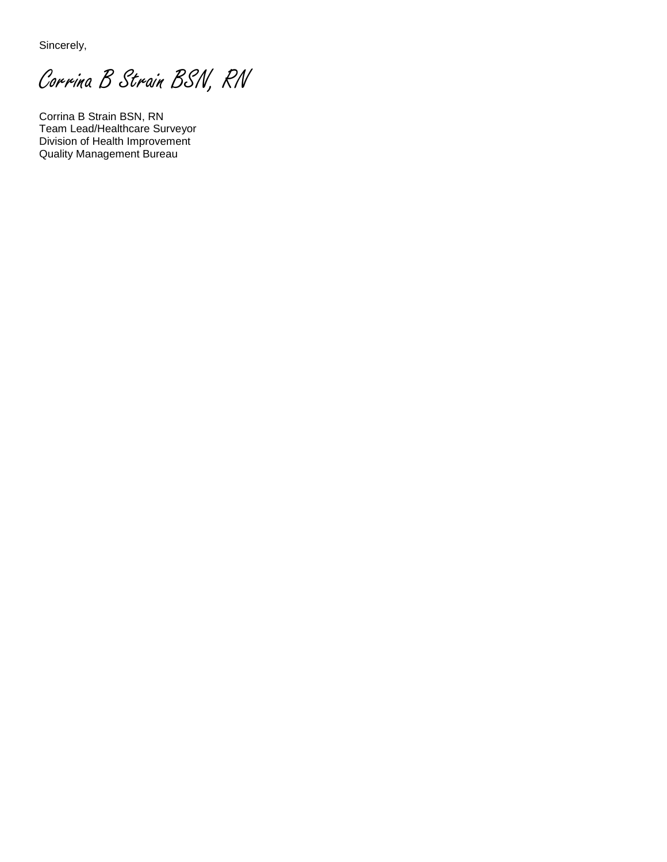Sincerely,

Corrina B Strain BSN, RN

Corrina B Strain BSN, RN Team Lead/Healthcare Surveyor Division of Health Improvement Quality Management Bureau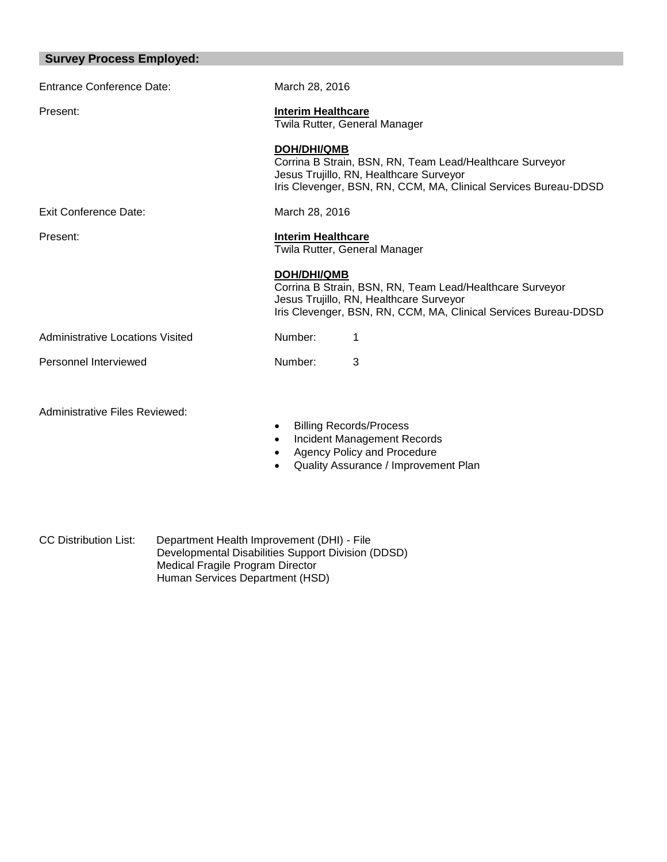| <b>Survey Process Employed:</b>  |                                                                                                                                                                                              |  |
|----------------------------------|----------------------------------------------------------------------------------------------------------------------------------------------------------------------------------------------|--|
| Entrance Conference Date:        | March 28, 2016                                                                                                                                                                               |  |
| Present:                         | <b>Interim Healthcare</b><br>Twila Rutter, General Manager                                                                                                                                   |  |
|                                  | <b>DOH/DHI/QMB</b><br>Corrina B Strain, BSN, RN, Team Lead/Healthcare Surveyor<br>Jesus Trujillo, RN, Healthcare Surveyor<br>Iris Clevenger, BSN, RN, CCM, MA, Clinical Services Bureau-DDSD |  |
| Exit Conference Date:            | March 28, 2016                                                                                                                                                                               |  |
| Present:                         | <b>Interim Healthcare</b><br>Twila Rutter, General Manager                                                                                                                                   |  |
|                                  | <b>DOH/DHI/QMB</b><br>Corrina B Strain, BSN, RN, Team Lead/Healthcare Surveyor<br>Jesus Trujillo, RN, Healthcare Surveyor<br>Iris Clevenger, BSN, RN, CCM, MA, Clinical Services Bureau-DDSD |  |
| Administrative Locations Visited | Number:<br>1                                                                                                                                                                                 |  |
| Personnel Interviewed            | 3<br>Number:                                                                                                                                                                                 |  |
| Administrative Files Reviewed:   | <b>Billing Records/Process</b><br>$\bullet$<br>Incident Management Records                                                                                                                   |  |

- Agency Policy and Procedure
- Quality Assurance / Improvement Plan

٦

CC Distribution List: Department Health Improvement (DHI) - File Developmental Disabilities Support Division (DDSD) Medical Fragile Program Director Human Services Department (HSD)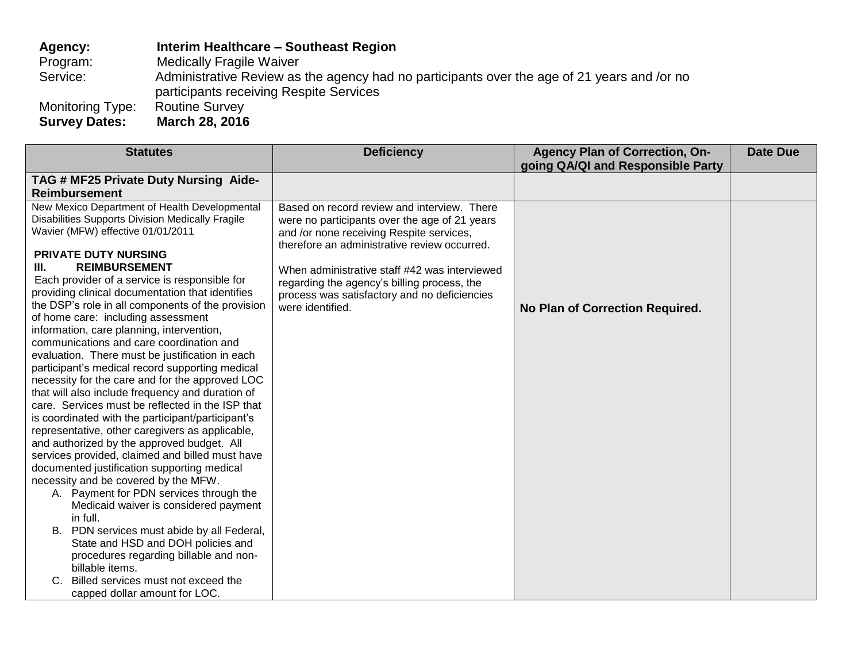**Agency: Interim Healthcare – Southeast Region** Program: Medically Fragile Waiver<br>Service: Administrative Review as Administrative Review as the agency had no participants over the age of 21 years and /or no participants receiving Respite Services Monitoring Type:<br>Survey Dates: **Survey Dates: March 28, 2016** 

| <b>Statutes</b>                                                                                                                                                                                                                                                                                                                                                                                                                                                                                                                                                                                                                                                                                                                                                                                                                                                                                                                                                                                                                                                                                                                                                                                                                                                                                                                                                | <b>Deficiency</b>                                                                                                                                                                                                                                                                                                                                            | <b>Agency Plan of Correction, On-</b><br>going QA/QI and Responsible Party | <b>Date Due</b> |
|----------------------------------------------------------------------------------------------------------------------------------------------------------------------------------------------------------------------------------------------------------------------------------------------------------------------------------------------------------------------------------------------------------------------------------------------------------------------------------------------------------------------------------------------------------------------------------------------------------------------------------------------------------------------------------------------------------------------------------------------------------------------------------------------------------------------------------------------------------------------------------------------------------------------------------------------------------------------------------------------------------------------------------------------------------------------------------------------------------------------------------------------------------------------------------------------------------------------------------------------------------------------------------------------------------------------------------------------------------------|--------------------------------------------------------------------------------------------------------------------------------------------------------------------------------------------------------------------------------------------------------------------------------------------------------------------------------------------------------------|----------------------------------------------------------------------------|-----------------|
| TAG # MF25 Private Duty Nursing Aide-                                                                                                                                                                                                                                                                                                                                                                                                                                                                                                                                                                                                                                                                                                                                                                                                                                                                                                                                                                                                                                                                                                                                                                                                                                                                                                                          |                                                                                                                                                                                                                                                                                                                                                              |                                                                            |                 |
| <b>Reimbursement</b>                                                                                                                                                                                                                                                                                                                                                                                                                                                                                                                                                                                                                                                                                                                                                                                                                                                                                                                                                                                                                                                                                                                                                                                                                                                                                                                                           |                                                                                                                                                                                                                                                                                                                                                              |                                                                            |                 |
| New Mexico Department of Health Developmental<br><b>Disabilities Supports Division Medically Fragile</b><br>Wavier (MFW) effective 01/01/2011<br><b>PRIVATE DUTY NURSING</b><br><b>REIMBURSEMENT</b><br>III.<br>Each provider of a service is responsible for<br>providing clinical documentation that identifies<br>the DSP's role in all components of the provision<br>of home care: including assessment<br>information, care planning, intervention,<br>communications and care coordination and<br>evaluation. There must be justification in each<br>participant's medical record supporting medical<br>necessity for the care and for the approved LOC<br>that will also include frequency and duration of<br>care. Services must be reflected in the ISP that<br>is coordinated with the participant/participant's<br>representative, other caregivers as applicable,<br>and authorized by the approved budget. All<br>services provided, claimed and billed must have<br>documented justification supporting medical<br>necessity and be covered by the MFW.<br>A. Payment for PDN services through the<br>Medicaid waiver is considered payment<br>in full.<br>B. PDN services must abide by all Federal,<br>State and HSD and DOH policies and<br>procedures regarding billable and non-<br>billable items.<br>Billed services must not exceed the | Based on record review and interview. There<br>were no participants over the age of 21 years<br>and /or none receiving Respite services,<br>therefore an administrative review occurred.<br>When administrative staff #42 was interviewed<br>regarding the agency's billing process, the<br>process was satisfactory and no deficiencies<br>were identified. | No Plan of Correction Required.                                            |                 |
| capped dollar amount for LOC.                                                                                                                                                                                                                                                                                                                                                                                                                                                                                                                                                                                                                                                                                                                                                                                                                                                                                                                                                                                                                                                                                                                                                                                                                                                                                                                                  |                                                                                                                                                                                                                                                                                                                                                              |                                                                            |                 |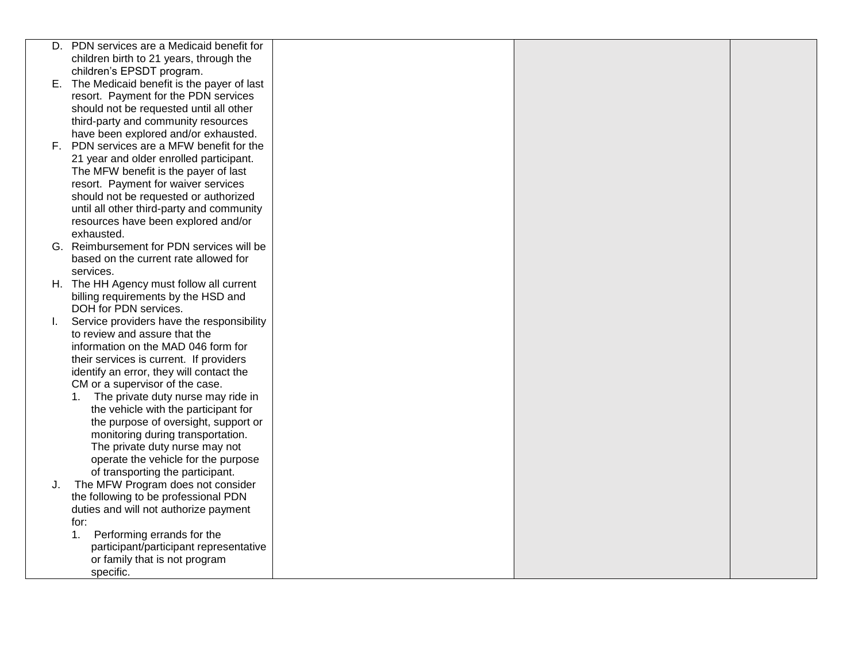|    | D. PDN services are a Medicaid benefit for                            |  |  |
|----|-----------------------------------------------------------------------|--|--|
|    | children birth to 21 years, through the                               |  |  |
|    | children's EPSDT program.                                             |  |  |
|    | E. The Medicaid benefit is the payer of last                          |  |  |
|    | resort. Payment for the PDN services                                  |  |  |
|    | should not be requested until all other                               |  |  |
|    | third-party and community resources                                   |  |  |
|    | have been explored and/or exhausted.                                  |  |  |
|    | F. PDN services are a MFW benefit for the                             |  |  |
|    | 21 year and older enrolled participant.                               |  |  |
|    | The MFW benefit is the payer of last                                  |  |  |
|    | resort. Payment for waiver services                                   |  |  |
|    | should not be requested or authorized                                 |  |  |
|    | until all other third-party and community                             |  |  |
|    | resources have been explored and/or                                   |  |  |
|    | exhausted.                                                            |  |  |
|    | G. Reimbursement for PDN services will be                             |  |  |
|    | based on the current rate allowed for                                 |  |  |
|    | services.                                                             |  |  |
|    | H. The HH Agency must follow all current                              |  |  |
|    | billing requirements by the HSD and                                   |  |  |
|    | DOH for PDN services.                                                 |  |  |
| L. | Service providers have the responsibility                             |  |  |
|    | to review and assure that the                                         |  |  |
|    | information on the MAD 046 form for                                   |  |  |
|    | their services is current. If providers                               |  |  |
|    | identify an error, they will contact the                              |  |  |
|    | CM or a supervisor of the case.                                       |  |  |
|    | The private duty nurse may ride in<br>1.                              |  |  |
|    | the vehicle with the participant for                                  |  |  |
|    | the purpose of oversight, support or                                  |  |  |
|    | monitoring during transportation.                                     |  |  |
|    | The private duty nurse may not                                        |  |  |
|    | operate the vehicle for the purpose                                   |  |  |
|    |                                                                       |  |  |
| J. | of transporting the participant.<br>The MFW Program does not consider |  |  |
|    | the following to be professional PDN                                  |  |  |
|    |                                                                       |  |  |
|    | duties and will not authorize payment                                 |  |  |
|    | for:<br>1.                                                            |  |  |
|    | Performing errands for the                                            |  |  |
|    | participant/participant representative                                |  |  |
|    | or family that is not program                                         |  |  |
|    | specific.                                                             |  |  |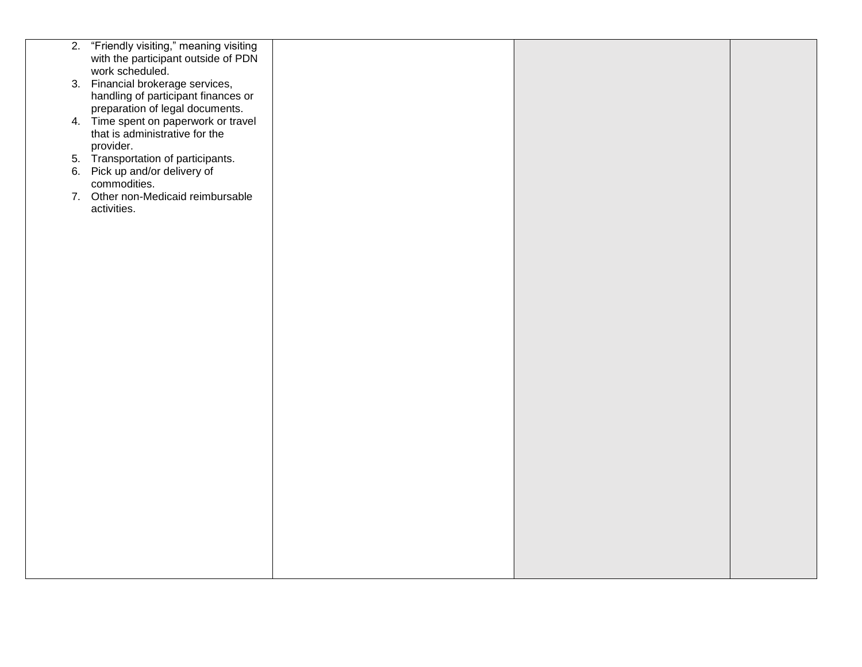| 2. "Friendly visiting," meaning visiting |  |  |
|------------------------------------------|--|--|
| with the participant outside of PDN      |  |  |
| work scheduled.                          |  |  |
|                                          |  |  |
| 3. Financial brokerage services,         |  |  |
| handling of participant finances or      |  |  |
| preparation of legal documents.          |  |  |
|                                          |  |  |
| 4. Time spent on paperwork or travel     |  |  |
| that is administrative for the           |  |  |
| provider.                                |  |  |
| 5. Transportation of participants.       |  |  |
|                                          |  |  |
| 6. Pick up and/or delivery of            |  |  |
| commodities.                             |  |  |
| 7. Other non-Medicaid reimbursable       |  |  |
| activities.                              |  |  |
|                                          |  |  |
|                                          |  |  |
|                                          |  |  |
|                                          |  |  |
|                                          |  |  |
|                                          |  |  |
|                                          |  |  |
|                                          |  |  |
|                                          |  |  |
|                                          |  |  |
|                                          |  |  |
|                                          |  |  |
|                                          |  |  |
|                                          |  |  |
|                                          |  |  |
|                                          |  |  |
|                                          |  |  |
|                                          |  |  |
|                                          |  |  |
|                                          |  |  |
|                                          |  |  |
|                                          |  |  |
|                                          |  |  |
|                                          |  |  |
|                                          |  |  |
|                                          |  |  |
|                                          |  |  |
|                                          |  |  |
|                                          |  |  |
|                                          |  |  |
|                                          |  |  |
|                                          |  |  |
|                                          |  |  |
|                                          |  |  |
|                                          |  |  |
|                                          |  |  |
|                                          |  |  |
|                                          |  |  |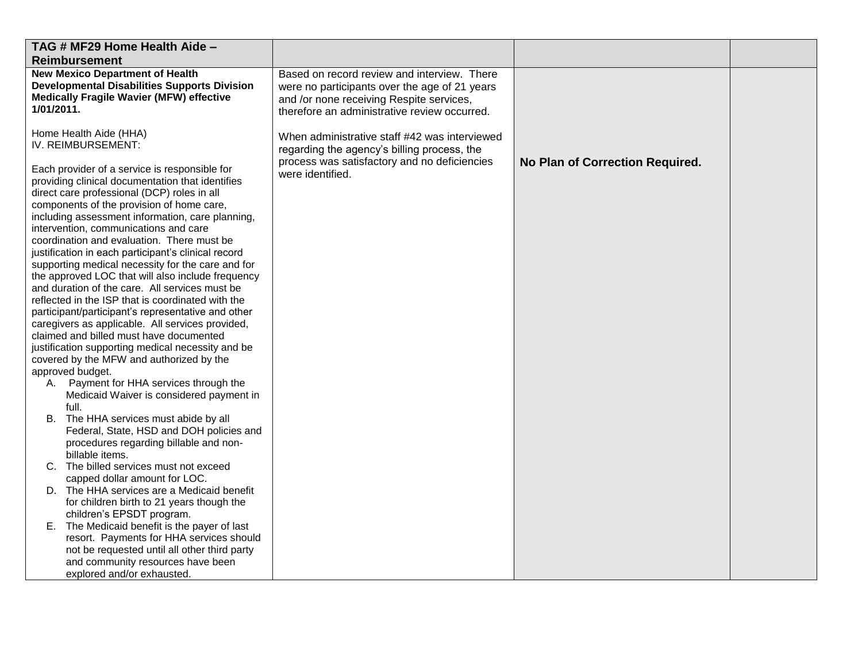| TAG # MF29 Home Health Aide -                                                                                                                                                                                                                                                                                                                                                                                                                                                                                                                                                                                                                                                                                                                                                                                                                                                                                                                                                                                                                                                                                                                                                                                                                                                                                                                                      |                                                                                                                                                                                          |                                 |  |
|--------------------------------------------------------------------------------------------------------------------------------------------------------------------------------------------------------------------------------------------------------------------------------------------------------------------------------------------------------------------------------------------------------------------------------------------------------------------------------------------------------------------------------------------------------------------------------------------------------------------------------------------------------------------------------------------------------------------------------------------------------------------------------------------------------------------------------------------------------------------------------------------------------------------------------------------------------------------------------------------------------------------------------------------------------------------------------------------------------------------------------------------------------------------------------------------------------------------------------------------------------------------------------------------------------------------------------------------------------------------|------------------------------------------------------------------------------------------------------------------------------------------------------------------------------------------|---------------------------------|--|
| <b>Reimbursement</b>                                                                                                                                                                                                                                                                                                                                                                                                                                                                                                                                                                                                                                                                                                                                                                                                                                                                                                                                                                                                                                                                                                                                                                                                                                                                                                                                               |                                                                                                                                                                                          |                                 |  |
| <b>New Mexico Department of Health</b><br><b>Developmental Disabilities Supports Division</b><br><b>Medically Fragile Wavier (MFW) effective</b><br>1/01/2011.                                                                                                                                                                                                                                                                                                                                                                                                                                                                                                                                                                                                                                                                                                                                                                                                                                                                                                                                                                                                                                                                                                                                                                                                     | Based on record review and interview. There<br>were no participants over the age of 21 years<br>and /or none receiving Respite services,<br>therefore an administrative review occurred. |                                 |  |
| Home Health Aide (HHA)<br>IV. REIMBURSEMENT:<br>Each provider of a service is responsible for<br>providing clinical documentation that identifies<br>direct care professional (DCP) roles in all<br>components of the provision of home care,<br>including assessment information, care planning,<br>intervention, communications and care<br>coordination and evaluation. There must be<br>justification in each participant's clinical record<br>supporting medical necessity for the care and for<br>the approved LOC that will also include frequency<br>and duration of the care. All services must be<br>reflected in the ISP that is coordinated with the<br>participant/participant's representative and other<br>caregivers as applicable. All services provided,<br>claimed and billed must have documented<br>justification supporting medical necessity and be<br>covered by the MFW and authorized by the<br>approved budget.<br>A. Payment for HHA services through the<br>Medicaid Waiver is considered payment in<br>full.<br>B. The HHA services must abide by all<br>Federal, State, HSD and DOH policies and<br>procedures regarding billable and non-<br>billable items.<br>C. The billed services must not exceed<br>capped dollar amount for LOC.<br>D. The HHA services are a Medicaid benefit<br>for children birth to 21 years though the | When administrative staff #42 was interviewed<br>regarding the agency's billing process, the<br>process was satisfactory and no deficiencies<br>were identified.                         | No Plan of Correction Required. |  |
| children's EPSDT program.<br>E. The Medicaid benefit is the payer of last                                                                                                                                                                                                                                                                                                                                                                                                                                                                                                                                                                                                                                                                                                                                                                                                                                                                                                                                                                                                                                                                                                                                                                                                                                                                                          |                                                                                                                                                                                          |                                 |  |
| resort. Payments for HHA services should                                                                                                                                                                                                                                                                                                                                                                                                                                                                                                                                                                                                                                                                                                                                                                                                                                                                                                                                                                                                                                                                                                                                                                                                                                                                                                                           |                                                                                                                                                                                          |                                 |  |
| not be requested until all other third party                                                                                                                                                                                                                                                                                                                                                                                                                                                                                                                                                                                                                                                                                                                                                                                                                                                                                                                                                                                                                                                                                                                                                                                                                                                                                                                       |                                                                                                                                                                                          |                                 |  |
| and community resources have been                                                                                                                                                                                                                                                                                                                                                                                                                                                                                                                                                                                                                                                                                                                                                                                                                                                                                                                                                                                                                                                                                                                                                                                                                                                                                                                                  |                                                                                                                                                                                          |                                 |  |
| explored and/or exhausted.                                                                                                                                                                                                                                                                                                                                                                                                                                                                                                                                                                                                                                                                                                                                                                                                                                                                                                                                                                                                                                                                                                                                                                                                                                                                                                                                         |                                                                                                                                                                                          |                                 |  |